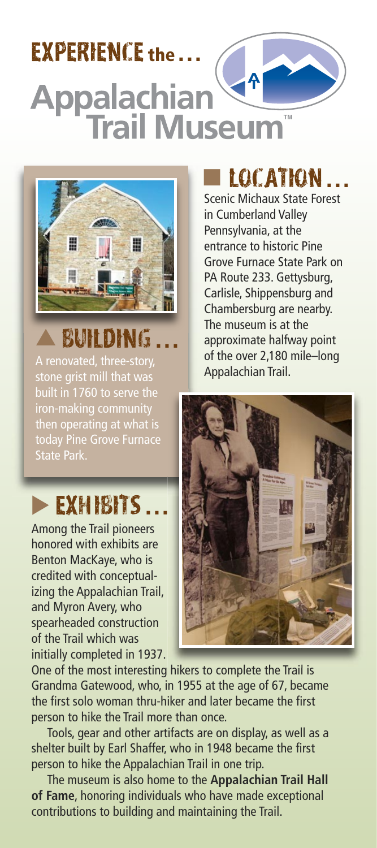# experience **the . . .Appalachian<sup>V<sup>4</sup>**</sup>



## ▲ Building **. . .**

A renovated, three-story, stone grist mill that was built in 1760 to serve the iron-making community today Pine Grove Furnace State Park.

## **EXHIBITS .**

Among the Trail pioneers honored with exhibits are Benton MacKaye, who is credited with conceptual izing the Appalachian Trail, and Myron Avery, who spearheaded construction of the Trail which was initially completed in 1937.

## ■ Location **. . .**

Scenic Michaux State Forest in Cumberland Valley Pennsylvania, at the entrance to historic Pine Grove Furnace State Park on PA Route 233. Gettysburg, Carlisle, Shippensburg and Chambersburg are nearby. The museum is at the approximate halfway point of the over 2.180 mile-long Appalachian Trail.



One of the most interesting hikers to complete the Trail is Grandma Gatewood, who, in 1955 at the age of 67, became the first solo woman thru-hiker and later became the first person to hike the Trail more than once.

Tools, gear and other artifacts are on display, as well as a shelter built by Earl Shaffer, who in 1948 became the first person to hike the Appalachian Trail in one trip.

The museum is also home to the **Appalachian Trail Hall of Fame**, honoring individuals who have made exceptional contributions to building and maintaining the Trail.